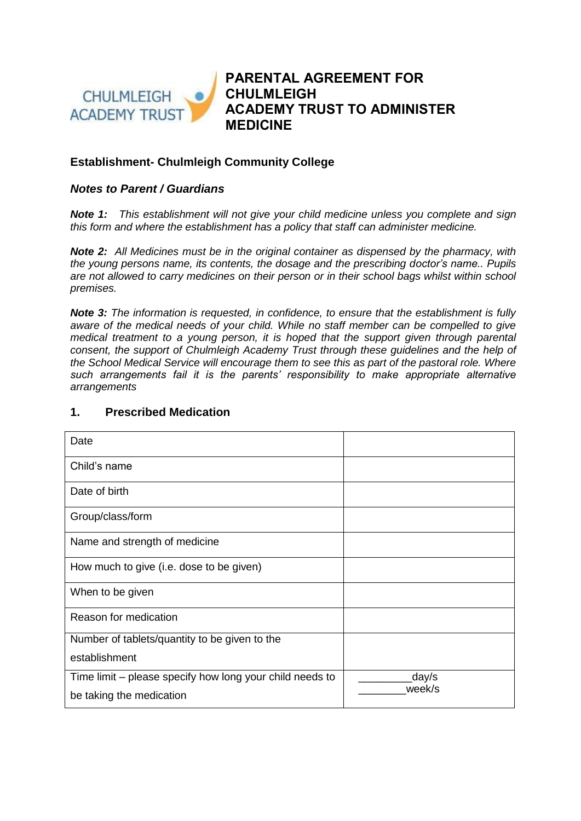

**PARENTAL AGREEMENT FOR CHULMLEIGH ACADEMY TRUST TO ADMINISTER MEDICINE**

## **Establishment- Chulmleigh Community College**

## *Notes to Parent / Guardians*

*Note 1: This establishment will not give your child medicine unless you complete and sign this form and where the establishment has a policy that staff can administer medicine.* 

*Note 2: All Medicines must be in the original container as dispensed by the pharmacy, with the young persons name, its contents, the dosage and the prescribing doctor's name.. Pupils are not allowed to carry medicines on their person or in their school bags whilst within school premises.*

*Note 3: The information is requested, in confidence, to ensure that the establishment is fully aware of the medical needs of your child. While no staff member can be compelled to give medical treatment to a young person, it is hoped that the support given through parental consent, the support of Chulmleigh Academy Trust through these guidelines and the help of the School Medical Service will encourage them to see this as part of the pastoral role. Where such arrangements fail it is the parents' responsibility to make appropriate alternative arrangements*

| Date                                                     |        |
|----------------------------------------------------------|--------|
| Child's name                                             |        |
| Date of birth                                            |        |
| Group/class/form                                         |        |
| Name and strength of medicine                            |        |
| How much to give (i.e. dose to be given)                 |        |
| When to be given                                         |        |
| Reason for medication                                    |        |
| Number of tablets/quantity to be given to the            |        |
| establishment                                            |        |
| Time limit – please specify how long your child needs to | day/s_ |
| be taking the medication                                 | week/s |

## **1. Prescribed Medication**